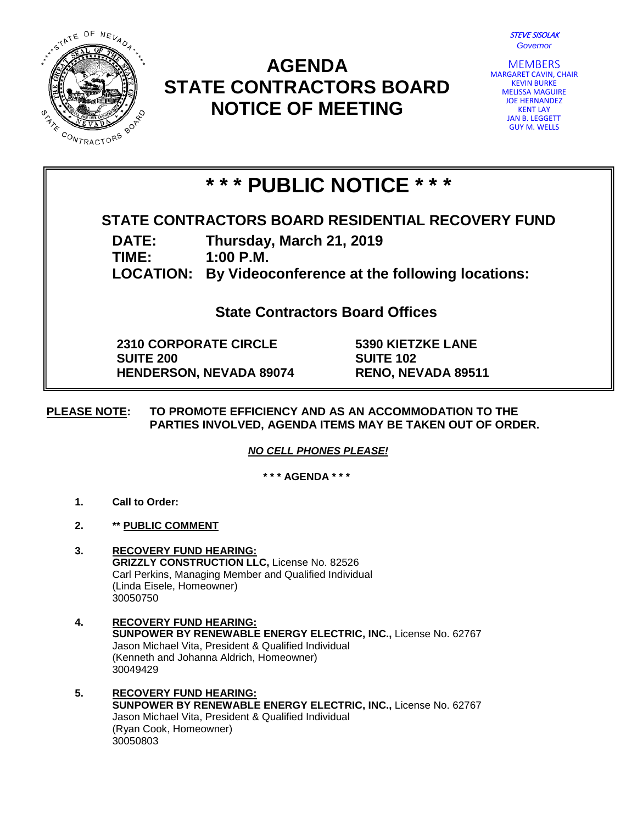

## **AGENDA STATE CONTRACTORS BOARD NOTICE OF MEETING**



MEMBERS MARGARET CAVIN, CHAIR KEVIN BURKE MELISSA MAGUIRE JOE HERNANDEZ KENT LAY JAN B. LEGGETT GUY M. WELLS

# **\* \* \* PUBLIC NOTICE \* \* \***

## **STATE CONTRACTORS BOARD RESIDENTIAL RECOVERY FUND**

**DATE: Thursday, March 21, 2019**

**TIME: 1:00 P.M.**

**LOCATION: By Videoconference at the following locations:**

**State Contractors Board Offices**

**2310 CORPORATE CIRCLE SUITE 200 HENDERSON, NEVADA 89074**

**5390 KIETZKE LANE SUITE 102 RENO, NEVADA 89511**

#### **PLEASE NOTE: TO PROMOTE EFFICIENCY AND AS AN ACCOMMODATION TO THE PARTIES INVOLVED, AGENDA ITEMS MAY BE TAKEN OUT OF ORDER.**

*NO CELL PHONES PLEASE!* 

**\* \* \* AGENDA \* \* \***

- **1. Call to Order:**
- **2. \*\* PUBLIC COMMENT**
- **3. RECOVERY FUND HEARING: GRIZZLY CONSTRUCTION LLC,** License No. 82526 Carl Perkins, Managing Member and Qualified Individual (Linda Eisele, Homeowner) 30050750
- **4. RECOVERY FUND HEARING: SUNPOWER BY RENEWABLE ENERGY ELECTRIC, INC.,** License No. 62767 Jason Michael Vita, President & Qualified Individual (Kenneth and Johanna Aldrich, Homeowner) 30049429
- **5. RECOVERY FUND HEARING: SUNPOWER BY RENEWABLE ENERGY ELECTRIC, INC.,** License No. 62767 Jason Michael Vita, President & Qualified Individual (Ryan Cook, Homeowner) 30050803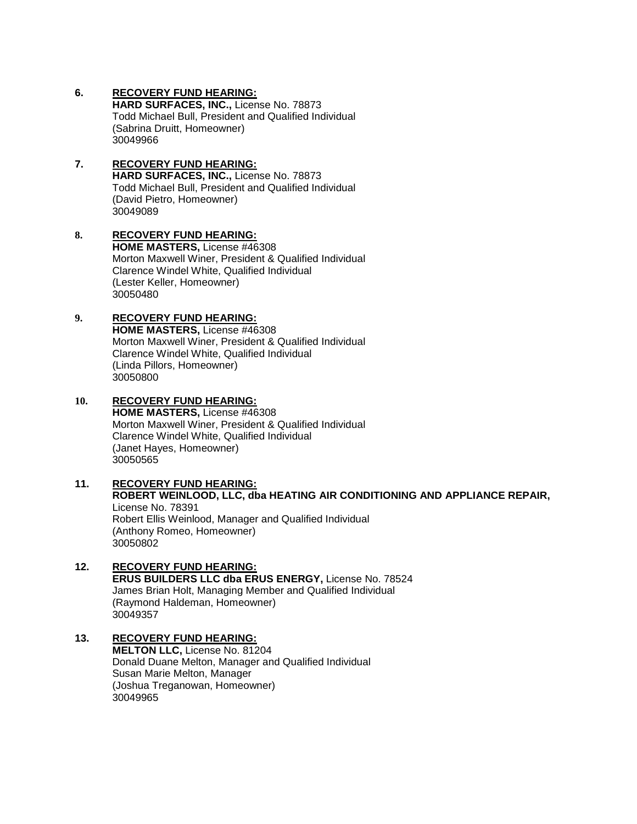#### **6. RECOVERY FUND HEARING:**

**HARD SURFACES, INC.,** License No. 78873 Todd Michael Bull, President and Qualified Individual (Sabrina Druitt, Homeowner) 30049966

#### **7. RECOVERY FUND HEARING: HARD SURFACES, INC.,** License No. 78873 Todd Michael Bull, President and Qualified Individual (David Pietro, Homeowner) 30049089

#### **8. RECOVERY FUND HEARING: HOME MASTERS,** License #46308 Morton Maxwell Winer, President & Qualified Individual Clarence Windel White, Qualified Individual (Lester Keller, Homeowner) 30050480

#### **9. RECOVERY FUND HEARING:**

**HOME MASTERS,** License #46308 Morton Maxwell Winer, President & Qualified Individual Clarence Windel White, Qualified Individual (Linda Pillors, Homeowner) 30050800

#### **10. RECOVERY FUND HEARING:**

**HOME MASTERS,** License #46308 Morton Maxwell Winer, President & Qualified Individual Clarence Windel White, Qualified Individual (Janet Hayes, Homeowner) 30050565

#### **11. RECOVERY FUND HEARING: ROBERT WEINLOOD, LLC, dba HEATING AIR CONDITIONING AND APPLIANCE REPAIR,**

License No. 78391 Robert Ellis Weinlood, Manager and Qualified Individual (Anthony Romeo, Homeowner) 30050802

## **12. RECOVERY FUND HEARING:**

**ERUS BUILDERS LLC dba ERUS ENERGY,** License No. 78524 James Brian Holt, Managing Member and Qualified Individual (Raymond Haldeman, Homeowner) 30049357

### **13. RECOVERY FUND HEARING:**

**MELTON LLC,** License No. 81204 Donald Duane Melton, Manager and Qualified Individual Susan Marie Melton, Manager (Joshua Treganowan, Homeowner) 30049965